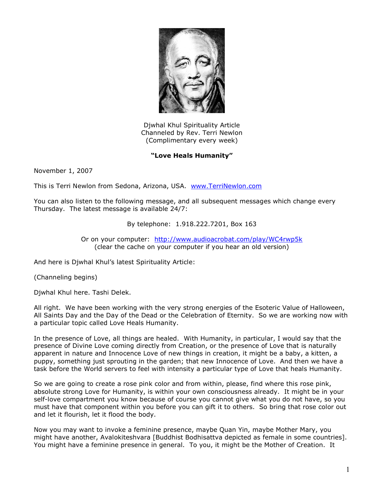

Djwhal Khul Spirituality Article Channeled by Rev. Terri Newlon (Complimentary every week)

## **"Love Heals Humanity"**

November 1, 2007

This is Terri Newlon from Sedona, Arizona, USA. [www.TerriNewlon.com](http://www.terrinewlon.com/)

You can also listen to the following message, and all subsequent messages which change every Thursday. The latest message is available 24/7:

By telephone: 1.918.222.7201, Box 163

Or on your computer: <http://www.audioacrobat.com/play/WC4rwp5k> (clear the cache on your computer if you hear an old version)

And here is Djwhal Khul's latest Spirituality Article:

(Channeling begins)

Djwhal Khul here. Tashi Delek.

All right. We have been working with the very strong energies of the Esoteric Value of Halloween, All Saints Day and the Day of the Dead or the Celebration of Eternity. So we are working now with a particular topic called Love Heals Humanity.

In the presence of Love, all things are healed. With Humanity, in particular, I would say that the presence of Divine Love coming directly from Creation, or the presence of Love that is naturally apparent in nature and Innocence Love of new things in creation, it might be a baby, a kitten, a puppy, something just sprouting in the garden; that new Innocence of Love. And then we have a task before the World servers to feel with intensity a particular type of Love that heals Humanity.

So we are going to create a rose pink color and from within, please, find where this rose pink, absolute strong Love for Humanity, is within your own consciousness already. It might be in your self-love compartment you know because of course you cannot give what you do not have, so you must have that component within you before you can gift it to others. So bring that rose color out and let it flourish, let it flood the body.

Now you may want to invoke a feminine presence, maybe Quan Yin, maybe Mother Mary, you might have another, Avalokiteshvara [Buddhist Bodhisattva depicted as female in some countries]. You might have a feminine presence in general. To you, it might be the Mother of Creation. It